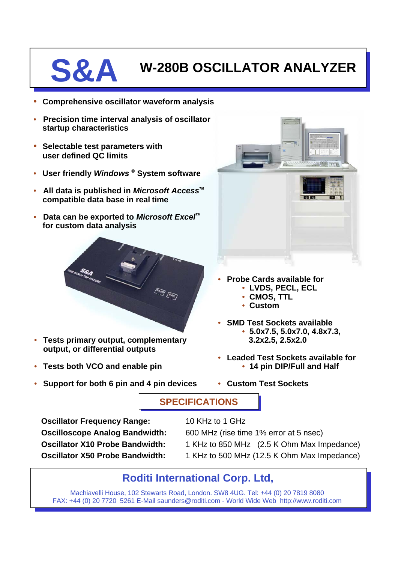**S&A W-280B OSCILLATOR ANALYZER**

- **Comprehensive oscillator waveform analysis**
- **Precision time interval analysis of oscillator startup characteristics**
- **Selectable test parameters with user defined QC limits**
- **User friendly** *Windows* **® System software**
- All data is published in *Microsoft Access<sup>™</sup>* **compatible data base in real time**
- **Data can be exported to** *Microsoft Excel***<sup>™</sup> for custom data analysis**



- **Tests primary output, complementary output, or differential outputs**
- **Tests both VCO and enable pin**
- **Support for both 6 pin and 4 pin devices**



- **Probe Cards available for**
	- **LVDS, PECL, ECL**
	- **CMOS, TTL**
	- **Custom**
- **SMD Test Sockets available**
	- **5.0x7.5, 5.0x7.0, 4.8x7.3, 3.2x2.5, 2.5x2.0**
- **Leaded Test Sockets available for** • **14 pin DIP/Full and Half**
- **Custom Test Sockets**

## **SPECIFICATIONS**

**Oscillator Frequency Range:** 10 KHz to 1 GHz

**Oscilloscope Analog Bandwidth:** 600 MHz (rise time 1% error at 5 nsec)

- **Oscillator X10 Probe Bandwidth:** 1 KHz to 850 MHz (2.5 K Ohm Max Impedance)
- **Oscillator X50 Probe Bandwidth:** 1 KHz to 500 MHz (12.5 K Ohm Max Impedance)

## **Roditi International Corp. Ltd,**

Machiavelli House, 102 Stewarts Road, London. SW8 4UG. Tel: +44 (0) 20 7819 8080 FAX: +44 (0) 20 7720 5261 E-Mail saunders@roditi.com - World Wide Web http://www.roditi.com